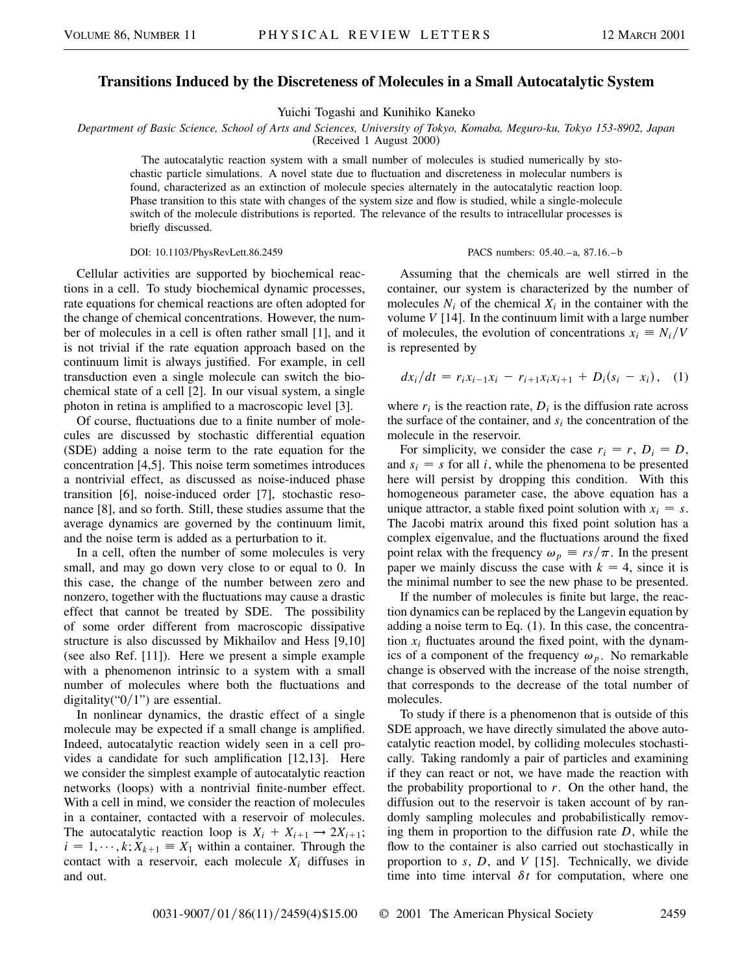## **Transitions Induced by the Discreteness of Molecules in a Small Autocatalytic System**

Yuichi Togashi and Kunihiko Kaneko

*Department of Basic Science, School of Arts and Sciences, University of Tokyo, Komaba, Meguro-ku, Tokyo 153-8902, Japan*

(Received 1 August 2000)

The autocatalytic reaction system with a small number of molecules is studied numerically by stochastic particle simulations. A novel state due to fluctuation and discreteness in molecular numbers is found, characterized as an extinction of molecule species alternately in the autocatalytic reaction loop. Phase transition to this state with changes of the system size and flow is studied, while a single-molecule switch of the molecule distributions is reported. The relevance of the results to intracellular processes is briefly discussed.

## DOI: 10.1103/PhysRevLett.86.2459 PACS numbers: 05.40.–a, 87.16.–b

Cellular activities are supported by biochemical reactions in a cell. To study biochemical dynamic processes, rate equations for chemical reactions are often adopted for the change of chemical concentrations. However, the number of molecules in a cell is often rather small [1], and it is not trivial if the rate equation approach based on the continuum limit is always justified. For example, in cell transduction even a single molecule can switch the biochemical state of a cell [2]. In our visual system, a single photon in retina is amplified to a macroscopic level [3].

Of course, fluctuations due to a finite number of molecules are discussed by stochastic differential equation (SDE) adding a noise term to the rate equation for the concentration [4,5]. This noise term sometimes introduces a nontrivial effect, as discussed as noise-induced phase transition [6], noise-induced order [7], stochastic resonance [8], and so forth. Still, these studies assume that the average dynamics are governed by the continuum limit, and the noise term is added as a perturbation to it.

In a cell, often the number of some molecules is very small, and may go down very close to or equal to 0. In this case, the change of the number between zero and nonzero, together with the fluctuations may cause a drastic effect that cannot be treated by SDE. The possibility of some order different from macroscopic dissipative structure is also discussed by Mikhailov and Hess [9,10] (see also Ref. [11]). Here we present a simple example with a phenomenon intrinsic to a system with a small number of molecules where both the fluctuations and digitality(" $0/1$ ") are essential.

In nonlinear dynamics, the drastic effect of a single molecule may be expected if a small change is amplified. Indeed, autocatalytic reaction widely seen in a cell provides a candidate for such amplification [12,13]. Here we consider the simplest example of autocatalytic reaction networks (loops) with a nontrivial finite-number effect. With a cell in mind, we consider the reaction of molecules in a container, contacted with a reservoir of molecules. The autocatalytic reaction loop is  $X_i + X_{i+1} \rightarrow 2X_{i+1}$ ;  $i = 1, \dots, k; X_{k+1} \equiv X_1$  within a container. Through the contact with a reservoir, each molecule  $X_i$  diffuses in and out.

Assuming that the chemicals are well stirred in the container, our system is characterized by the number of molecules  $N_i$  of the chemical  $X_i$  in the container with the volume *V* [14]. In the continuum limit with a large number of molecules, the evolution of concentrations  $x_i \equiv N_i/V$ is represented by

$$
dx_i/dt = r_i x_{i-1} x_i - r_{i+1} x_i x_{i+1} + D_i(s_i - x_i), \quad (1)
$$

where  $r_i$  is the reaction rate,  $D_i$  is the diffusion rate across the surface of the container, and *si* the concentration of the molecule in the reservoir.

For simplicity, we consider the case  $r_i = r$ ,  $D_i = D$ , and  $s_i = s$  for all *i*, while the phenomena to be presented here will persist by dropping this condition. With this homogeneous parameter case, the above equation has a unique attractor, a stable fixed point solution with  $x_i = s$ . The Jacobi matrix around this fixed point solution has a complex eigenvalue, and the fluctuations around the fixed point relax with the frequency  $\omega_p \equiv rs/\pi$ . In the present paper we mainly discuss the case with  $k = 4$ , since it is the minimal number to see the new phase to be presented.

If the number of molecules is finite but large, the reaction dynamics can be replaced by the Langevin equation by adding a noise term to Eq. (1). In this case, the concentration  $x_i$  fluctuates around the fixed point, with the dynamics of a component of the frequency  $\omega_p$ . No remarkable change is observed with the increase of the noise strength, that corresponds to the decrease of the total number of molecules.

To study if there is a phenomenon that is outside of this SDE approach, we have directly simulated the above autocatalytic reaction model, by colliding molecules stochastically. Taking randomly a pair of particles and examining if they can react or not, we have made the reaction with the probability proportional to *r*. On the other hand, the diffusion out to the reservoir is taken account of by randomly sampling molecules and probabilistically removing them in proportion to the diffusion rate *D*, while the flow to the container is also carried out stochastically in proportion to *s*, *D*, and *V* [15]. Technically, we divide time into time interval  $\delta t$  for computation, where one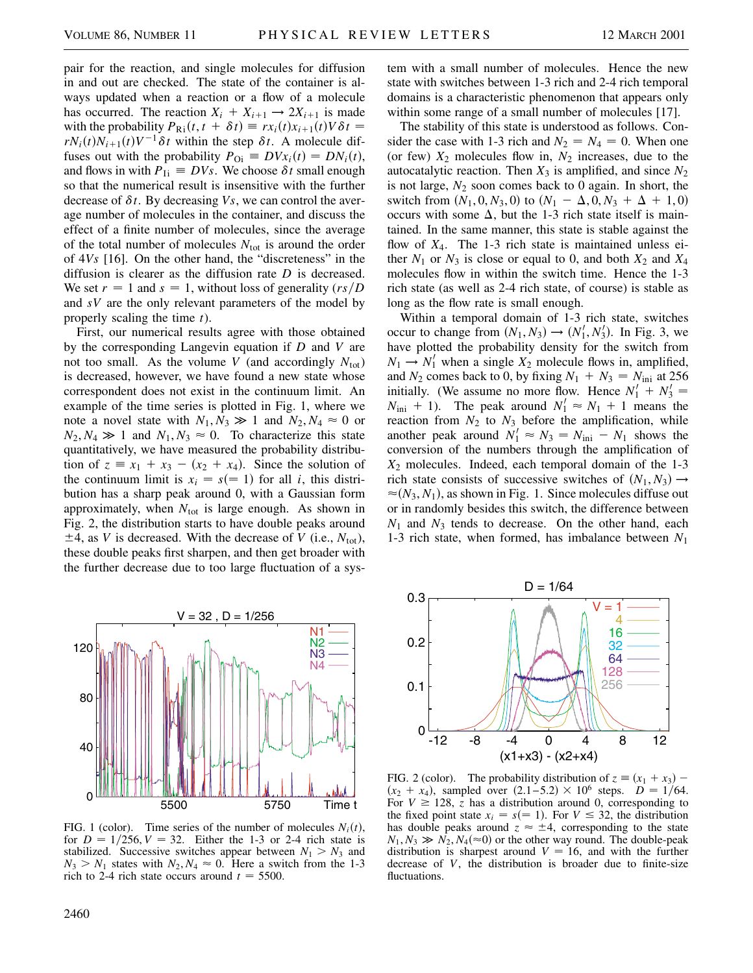pair for the reaction, and single molecules for diffusion in and out are checked. The state of the container is always updated when a reaction or a flow of a molecule has occurred. The reaction  $X_i + X_{i+1} \rightarrow 2X_{i+1}$  is made with the probability  $P_{\text{R}i}(t, t + \delta t) \equiv rx_i(t)x_{i+1}(t)V\delta t =$  $rN_i(t)N_{i+1}(t)V^{-1}\delta t$  within the step  $\delta t$ . A molecule diffuses out with the probability  $P_{0i} \equiv DVx_i(t) = DN_i(t)$ , and flows in with  $P_{\text{Ii}} \equiv DVs$ . We choose  $\delta t$  small enough so that the numerical result is insensitive with the further decrease of  $\delta t$ . By decreasing *Vs*, we can control the average number of molecules in the container, and discuss the effect of a finite number of molecules, since the average of the total number of molecules  $N_{\text{tot}}$  is around the order of 4*Vs* [16]. On the other hand, the "discreteness" in the diffusion is clearer as the diffusion rate *D* is decreased. We set  $r = 1$  and  $s = 1$ , without loss of generality  $(rs/D)$ and *sV* are the only relevant parameters of the model by properly scaling the time *t*).

First, our numerical results agree with those obtained by the corresponding Langevin equation if *D* and *V* are not too small. As the volume *V* (and accordingly  $N_{\text{tot}}$ ) is decreased, however, we have found a new state whose correspondent does not exist in the continuum limit. An example of the time series is plotted in Fig. 1, where we note a novel state with  $N_1, N_3 \gg 1$  and  $N_2, N_4 \approx 0$  or  $N_2, N_4 \gg 1$  and  $N_1, N_3 \approx 0$ . To characterize this state quantitatively, we have measured the probability distribution of  $z \equiv x_1 + x_3 - (x_2 + x_4)$ . Since the solution of the continuum limit is  $x_i = s (= 1)$  for all *i*, this distribution has a sharp peak around 0, with a Gaussian form approximately, when  $N_{\text{tot}}$  is large enough. As shown in Fig. 2, the distribution starts to have double peaks around  $\pm$ 4, as *V* is decreased. With the decrease of *V* (i.e.,  $N_{\text{tot}}$ ), these double peaks first sharpen, and then get broader with the further decrease due to too large fluctuation of a sys-



FIG. 1 (color). Time series of the number of molecules  $N_i(t)$ , for  $D = 1/256, V = 32$ . Either the 1-3 or 2-4 rich state is stabilized. Successive switches appear between  $N_1 > N_3$  and  $N_3 > N_1$  states with  $N_2, N_4 \approx 0$ . Here a switch from the 1-3 rich to 2-4 rich state occurs around  $t = 5500$ .

tem with a small number of molecules. Hence the new state with switches between 1-3 rich and 2-4 rich temporal domains is a characteristic phenomenon that appears only within some range of a small number of molecules [17].

The stability of this state is understood as follows. Consider the case with 1-3 rich and  $N_2 = N_4 = 0$ . When one (or few)  $X_2$  molecules flow in,  $N_2$  increases, due to the autocatalytic reaction. Then  $X_3$  is amplified, and since  $N_2$ is not large,  $N_2$  soon comes back to 0 again. In short, the switch from  $(N_1, 0, N_3, 0)$  to  $(N_1 - \Delta, 0, N_3 + \Delta + 1, 0)$ occurs with some  $\Delta$ , but the 1-3 rich state itself is maintained. In the same manner, this state is stable against the flow of *X*4. The 1-3 rich state is maintained unless either  $N_1$  or  $N_3$  is close or equal to 0, and both  $X_2$  and  $X_4$ molecules flow in within the switch time. Hence the 1-3 rich state (as well as 2-4 rich state, of course) is stable as long as the flow rate is small enough.

Within a temporal domain of 1-3 rich state, switches occur to change from  $(N_1, N_3) \rightarrow (N'_1, N'_3)$ . In Fig. 3, we have plotted the probability density for the switch from  $N_1 \rightarrow N'_1$  when a single  $X_2$  molecule flows in, amplified, and  $N_2$  comes back to 0, by fixing  $N_1 + N_3 = N_{\text{ini}}$  at 256 initially. (We assume no more flow. Hence  $N'_1 + N'_3 =$  $N_{\text{ini}} + 1$ ). The peak around  $N_1' \approx N_1 + 1$  means the reaction from  $N_2$  to  $N_3$  before the amplification, while another peak around  $N_1' \approx N_3 = N_{\text{ini}} - N_1$  shows the conversion of the numbers through the amplification of *X*<sup>2</sup> molecules. Indeed, each temporal domain of the 1-3 rich state consists of successive switches of  $(N_1, N_3) \rightarrow$  $\approx (N_3, N_1)$ , as shown in Fig. 1. Since molecules diffuse out or in randomly besides this switch, the difference between *N*<sup>1</sup> and *N*<sup>3</sup> tends to decrease. On the other hand, each 1-3 rich state, when formed, has imbalance between *N*<sup>1</sup>



FIG. 2 (color). The probability distribution of  $z \equiv (x_1 + x_3)$  –  $(x_2 + x_4)$ , sampled over  $(2.1 - 5.2) \times 10^6$  steps.  $D = 1/64$ . For  $V \ge 128$ , *z* has a distribution around 0, corresponding to the fixed point state  $x_i = s (= 1)$ . For  $V \leq 32$ , the distribution has double peaks around  $z \approx \pm 4$ , corresponding to the state  $N_1, N_3 \gg N_2, N_4 (\approx 0)$  or the other way round. The double-peak distribution is sharpest around  $V = 16$ , and with the further decrease of *V*, the distribution is broader due to finite-size fluctuations.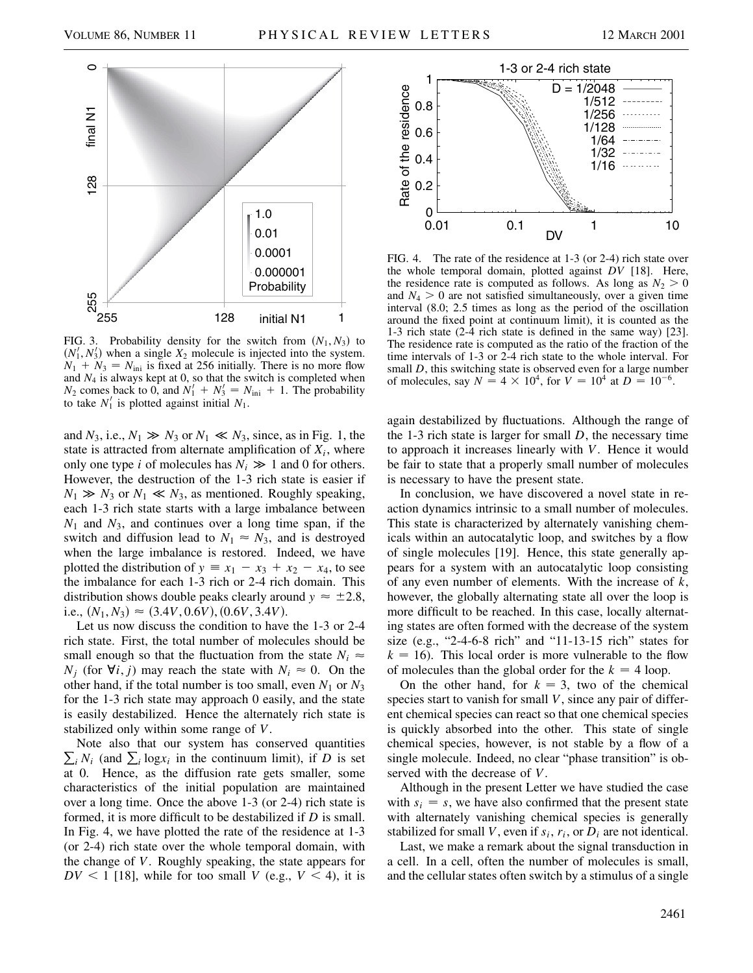

FIG. 3. Probability density for the switch from  $(N_1, N_3)$  to  $(N'_1, N'_3)$  when a single  $X_2$  molecule is injected into the system.  $N_1 + N_3 = N_{\text{ini}}$  is fixed at 256 initially. There is no more flow and  $N_4$  is always kept at 0, so that the switch is completed when  $N_2$  comes back to 0, and  $N_1' + N_3' = N_{\text{ini}} + 1$ . The probability to take  $N'_1$  is plotted against initial  $N_1$ .

and  $N_3$ , i.e.,  $N_1 \gg N_3$  or  $N_1 \ll N_3$ , since, as in Fig. 1, the state is attracted from alternate amplification of  $X_i$ , where only one type *i* of molecules has  $N_i \gg 1$  and 0 for others. However, the destruction of the 1-3 rich state is easier if  $N_1 \gg N_3$  or  $N_1 \ll N_3$ , as mentioned. Roughly speaking, each 1-3 rich state starts with a large imbalance between *N*<sup>1</sup> and *N*3, and continues over a long time span, if the switch and diffusion lead to  $N_1 \approx N_3$ , and is destroyed when the large imbalance is restored. Indeed, we have plotted the distribution of  $y \equiv x_1 - x_3 + x_2 - x_4$ , to see the imbalance for each 1-3 rich or 2-4 rich domain. This distribution shows double peaks clearly around  $y \approx \pm 2.8$ , i.e.,  $(N_1, N_3) \approx (3.4V, 0.6V), (0.6V, 3.4V).$ 

Let us now discuss the condition to have the 1-3 or 2-4 rich state. First, the total number of molecules should be small enough so that the fluctuation from the state  $N_i \approx$ *N<sub>i</sub>* (for  $\forall i, j$ ) may reach the state with  $N_i \approx 0$ . On the other hand, if the total number is too small, even  $N_1$  or  $N_3$ for the 1-3 rich state may approach 0 easily, and the state is easily destabilized. Hence the alternately rich state is stabilized only within some range of *V*.

 $\sum_i N_i$  (and  $\sum_i \log x_i$  in the continuum limit), if *D* is set Note also that our system has conserved quantities at 0. Hence, as the diffusion rate gets smaller, some characteristics of the initial population are maintained over a long time. Once the above 1-3 (or 2-4) rich state is formed, it is more difficult to be destabilized if *D* is small. In Fig. 4, we have plotted the rate of the residence at 1-3 (or 2-4) rich state over the whole temporal domain, with the change of *V*. Roughly speaking, the state appears for  $DV < 1$  [18], while for too small *V* (e.g.,  $V < 4$ ), it is



FIG. 4. The rate of the residence at 1-3 (or 2-4) rich state over the whole temporal domain, plotted against *DV* [18]. Here, the residence rate is computed as follows. As long as  $N_2 > 0$ and  $N_4 > 0$  are not satisfied simultaneously, over a given time interval (8.0; 2.5 times as long as the period of the oscillation around the fixed point at continuum limit), it is counted as the 1-3 rich state (2-4 rich state is defined in the same way) [23]. The residence rate is computed as the ratio of the fraction of the time intervals of 1-3 or 2-4 rich state to the whole interval. For small *D*, this switching state is observed even for a large number of molecules, say  $N = 4 \times 10^4$ , for  $V = 10^4$  at  $D = 10^{-6}$ .

again destabilized by fluctuations. Although the range of the 1-3 rich state is larger for small *D*, the necessary time to approach it increases linearly with *V*. Hence it would be fair to state that a properly small number of molecules is necessary to have the present state.

In conclusion, we have discovered a novel state in reaction dynamics intrinsic to a small number of molecules. This state is characterized by alternately vanishing chemicals within an autocatalytic loop, and switches by a flow of single molecules [19]. Hence, this state generally appears for a system with an autocatalytic loop consisting of any even number of elements. With the increase of *k*, however, the globally alternating state all over the loop is more difficult to be reached. In this case, locally alternating states are often formed with the decrease of the system size (e.g., "2-4-6-8 rich" and "11-13-15 rich" states for  $k = 16$ ). This local order is more vulnerable to the flow of molecules than the global order for the  $k = 4$  loop.

On the other hand, for  $k = 3$ , two of the chemical species start to vanish for small *V*, since any pair of different chemical species can react so that one chemical species is quickly absorbed into the other. This state of single chemical species, however, is not stable by a flow of a single molecule. Indeed, no clear "phase transition" is observed with the decrease of *V*.

Although in the present Letter we have studied the case with  $s_i = s$ , we have also confirmed that the present state with alternately vanishing chemical species is generally stabilized for small *V*, even if  $s_i$ ,  $r_i$ , or  $D_i$  are not identical.

Last, we make a remark about the signal transduction in a cell. In a cell, often the number of molecules is small, and the cellular states often switch by a stimulus of a single